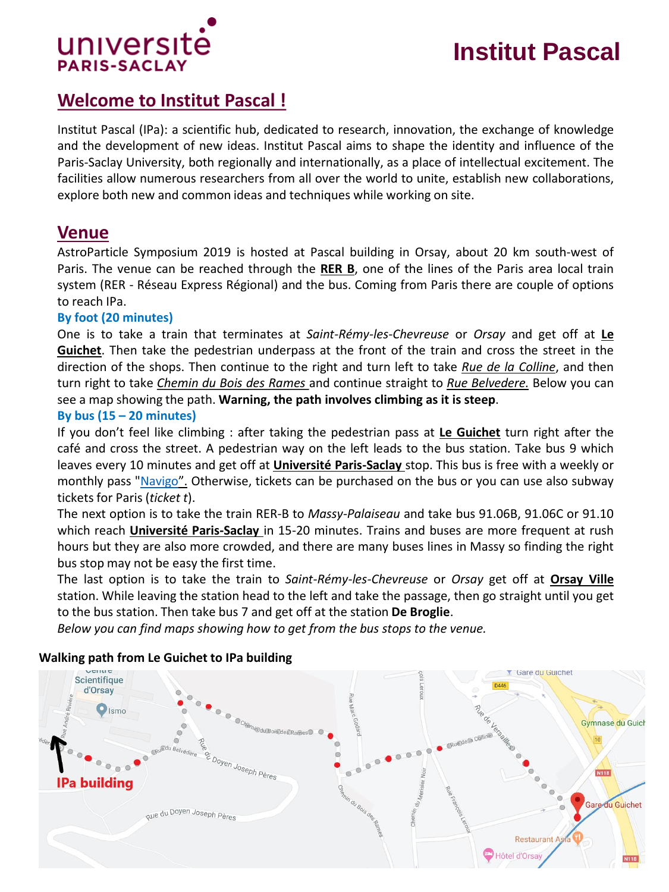

# **Institut Pascal**

# **Welcome to Institut Pascal !**

Institut Pascal (IPa): a scientific hub, dedicated to research, innovation, the exchange of knowledge and the development of new ideas. Institut Pascal aims to shape the identity and influence of the Paris-Saclay University, both regionally and internationally, as a place of intellectual excitement. The facilities allow numerous researchers from all over the world to unite, establish new collaborations, explore both new and common ideas and techniques while working on site.

### **Venue**

AstroParticle Symposium 2019 is hosted at Pascal building in Orsay, about 20 km south-west of Paris. The venue can be reached through the **RER B**, one of the lines of the Paris area local train system (RER - Réseau Express Régional) and the bus. Coming from Paris there are couple of options to reach IPa.

#### **By foot (20 minutes)**

One is to take a train that terminates at *Saint-Rémy-les-Chevreuse* or *Orsay* and get off at **Le Guichet**. Then take the pedestrian underpass at the front of the train and cross the street in the direction of the shops. Then continue to the right and turn left to take *Rue de la Colline*, and then turn right to take *Chemin du Bois des Rames* and continue straight to *Rue Belvedere.* Below you can see a map showing the path. **Warning, the path involves climbing as it is steep**.

#### **By bus (15 – 20 minutes)**

If you don't feel like climbing : after taking the pedestrian pass at **Le Guichet** turn right after the café and cross the street. A pedestrian way on the left leads to the bus station. Take bus 9 which leaves every 10 minutes and get off at **Université Paris-Saclay** stop. This bus is free with a weekly or monthly pass ["Navigo](https://www.ratp.fr/en/titres-et-tarifs/navigo-monthly-and-weekly-travel-passes)". Otherwise, tickets can be purchased on the bus or you can use also subway tickets for Paris (*ticket t*).

The next option is to take the train RER-B to *Massy-Palaiseau* and take bus 91.06B, 91.06C or 91.10 which reach **Université Paris-Saclay** in 15-20 minutes. Trains and buses are more frequent at rush hours but they are also more crowded, and there are many buses lines in Massy so finding the right bus stop may not be easy the first time.

The last option is to take the train to *Saint-Rémy-les-Chevreuse* or *Orsay* get off at **Orsay Ville** station. While leaving the station head to the left and take the passage, then go straight until you get to the bus station. Then take bus 7 and get off at the station **De Broglie**.

*Below you can find maps showing how to get from the bus stops to the venue.*



#### **Walking path from Le Guichet to IPa building**